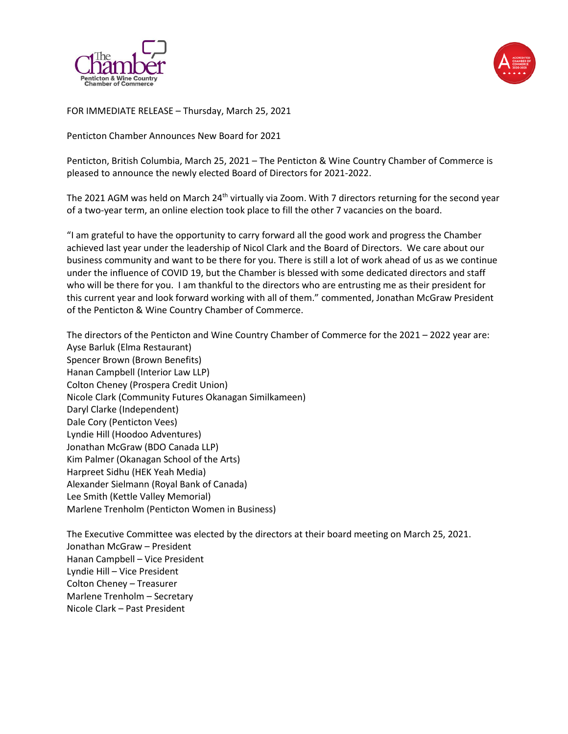



FOR IMMEDIATE RELEASE – Thursday, March 25, 2021

Penticton Chamber Announces New Board for 2021

Penticton, British Columbia, March 25, 2021 – The Penticton & Wine Country Chamber of Commerce is pleased to announce the newly elected Board of Directors for 2021-2022.

The 2021 AGM was held on March 24<sup>th</sup> virtually via Zoom. With 7 directors returning for the second year of a two-year term, an online election took place to fill the other 7 vacancies on the board.

"I am grateful to have the opportunity to carry forward all the good work and progress the Chamber achieved last year under the leadership of Nicol Clark and the Board of Directors. We care about our business community and want to be there for you. There is still a lot of work ahead of us as we continue under the influence of COVID 19, but the Chamber is blessed with some dedicated directors and staff who will be there for you. I am thankful to the directors who are entrusting me as their president for this current year and look forward working with all of them." commented, Jonathan McGraw President of the Penticton & Wine Country Chamber of Commerce.

The directors of the Penticton and Wine Country Chamber of Commerce for the 2021 – 2022 year are: Ayse Barluk (Elma Restaurant) Spencer Brown (Brown Benefits) Hanan Campbell (Interior Law LLP) Colton Cheney (Prospera Credit Union) Nicole Clark (Community Futures Okanagan Similkameen) Daryl Clarke (Independent) Dale Cory (Penticton Vees) Lyndie Hill (Hoodoo Adventures) Jonathan McGraw (BDO Canada LLP) Kim Palmer (Okanagan School of the Arts) Harpreet Sidhu (HEK Yeah Media) Alexander Sielmann (Royal Bank of Canada) Lee Smith (Kettle Valley Memorial) Marlene Trenholm (Penticton Women in Business)

The Executive Committee was elected by the directors at their board meeting on March 25, 2021. Jonathan McGraw – President Hanan Campbell – Vice President Lyndie Hill – Vice President Colton Cheney – Treasurer Marlene Trenholm – Secretary Nicole Clark – Past President